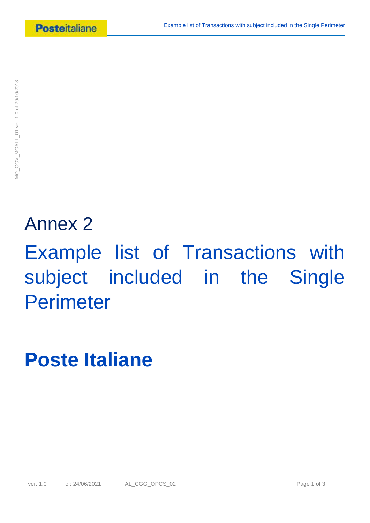# Annex 2

## Example list of Transactions with subject included in the Single Perimeter

### **Poste Italiane**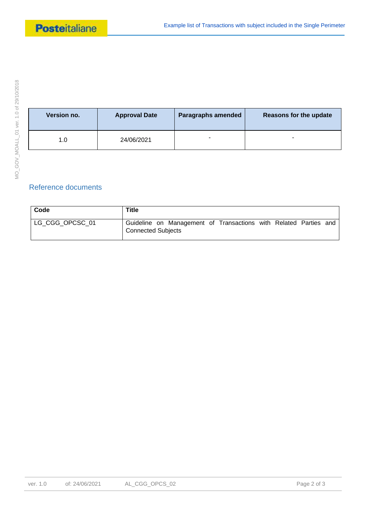| Version no. | <b>Approval Date</b> | Paragraphs amended | <b>Reasons for the update</b> |
|-------------|----------------------|--------------------|-------------------------------|
| 1.0         | 24/06/2021           | ۰                  | ۰                             |

#### Reference documents

| Code            | <b>Title</b>                                                                                  |
|-----------------|-----------------------------------------------------------------------------------------------|
| LG CGG OPCSC 01 | Guideline on Management of Transactions with Related Parties and<br><b>Connected Subjects</b> |